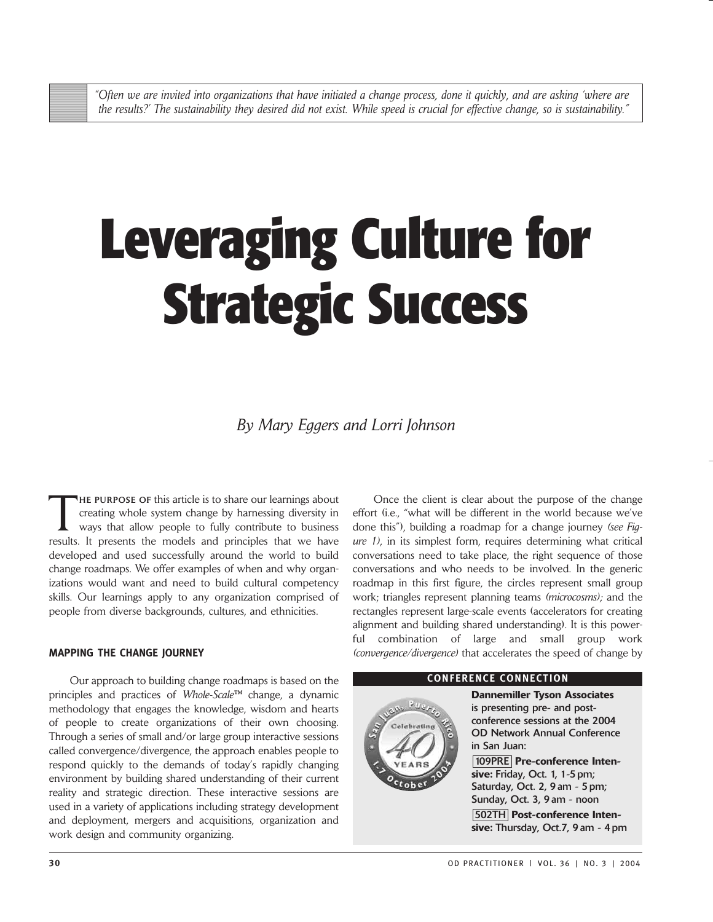# **Leveraging Culture for Strategic Success**

*By Mary Eggers and Lorri Johnson*

THE PURPOSE OF this article is to share our learnings about creating whole system change by harnessing diversity in ways that allow people to fully contribute to business results. It presents the models and principles that we have developed and used successfully around the world to build change roadmaps. We offer examples of when and why organizations would want and need to build cultural competency skills. Our learnings apply to any organization comprised of people from diverse backgrounds, cultures, and ethnicities.

## **MAPPING THE CHANGE JOURNEY**

Our approach to building change roadmaps is based on the principles and practices of *Whole-Scale™* change, a dynamic methodology that engages the knowledge, wisdom and hearts of people to create organizations of their own choosing. Through a series of small and/or large group interactive sessions called convergence/divergence, the approach enables people to respond quickly to the demands of today's rapidly changing environment by building shared understanding of their current reality and strategic direction. These interactive sessions are used in a variety of applications including strategy development and deployment, mergers and acquisitions, organization and work design and community organizing.

Once the client is clear about the purpose of the change effort (i.e., "what will be different in the world because we've done this"), building a roadmap for a change journey *(see Figure 1)*, in its simplest form, requires determining what critical conversations need to take place, the right sequence of those conversations and who needs to be involved. In the generic roadmap in this first figure, the circles represent small group work; triangles represent planning teams *(microcosms);* and the rectangles represent large-scale events (accelerators for creating alignment and building shared understanding). It is this powerful combination of large and small group work *(convergence/divergence)* that accelerates the speed of change by



#### **CONFERENCE CONNECTION**

**Dannemiller Tyson Associates** is presenting pre- and postconference sessions at the 2004 OD Network Annual Conference in San Juan: 109PRE **Pre-conference Intensive:** Friday, Oct. 1, 1-5 pm; Saturday, Oct. 2, 9 am - 5 pm; Sunday, Oct. 3, 9 am - noon 502TH **Post-conference Intensive:** Thursday, Oct.7, 9 am - 4 pm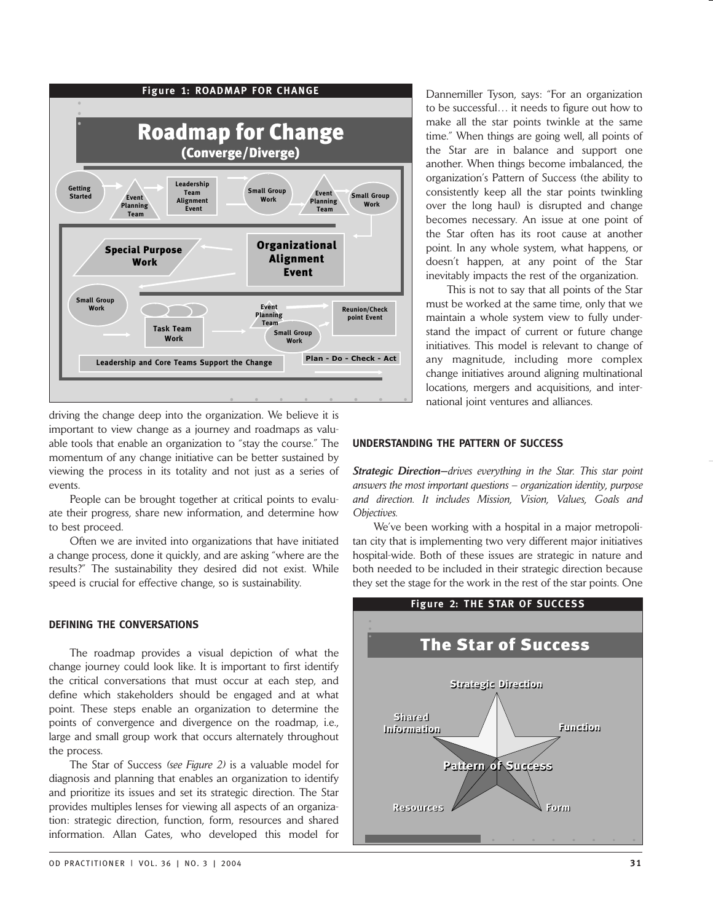

driving the change deep into the organization. We believe it is important to view change as a journey and roadmaps as valuable tools that enable an organization to "stay the course." The momentum of any change initiative can be better sustained by viewing the process in its totality and not just as a series of events.

People can be brought together at critical points to evaluate their progress, share new information, and determine how to best proceed.

Often we are invited into organizations that have initiated a change process, done it quickly, and are asking "where are the results?" The sustainability they desired did not exist. While speed is crucial for effective change, so is sustainability.

## **DEFINING THE CONVERSATIONS**

The roadmap provides a visual depiction of what the change journey could look like. It is important to first identify the critical conversations that must occur at each step, and define which stakeholders should be engaged and at what point. These steps enable an organization to determine the points of convergence and divergence on the roadmap, i.e., large and small group work that occurs alternately throughout the process.

The Star of Success *(see Figure 2)* is a valuable model for diagnosis and planning that enables an organization to identify and prioritize its issues and set its strategic direction. The Star provides multiples lenses for viewing all aspects of an organization: strategic direction, function, form, resources and shared information. Allan Gates, who developed this model for Dannemiller Tyson, says: "For an organization to be successful… it needs to figure out how to make all the star points twinkle at the same time." When things are going well, all points of the Star are in balance and support one another. When things become imbalanced, the organization's Pattern of Success (the ability to consistently keep all the star points twinkling over the long haul) is disrupted and change becomes necessary. An issue at one point of the Star often has its root cause at another point. In any whole system, what happens, or doesn't happen, at any point of the Star inevitably impacts the rest of the organization.

This is not to say that all points of the Star must be worked at the same time, only that we maintain a whole system view to fully understand the impact of current or future change initiatives. This model is relevant to change of any magnitude, including more complex change initiatives around aligning multinational locations, mergers and acquisitions, and international joint ventures and alliances.

#### **UNDERSTANDING THE PATTERN OF SUCCESS**

*Strategic Direction—drives everything in the Star. This star point answers the most important questions – organization identity, purpose and direction. It includes Mission, Vision, Values, Goals and Objectives.*

We've been working with a hospital in a major metropolitan city that is implementing two very different major initiatives hospital-wide. Both of these issues are strategic in nature and both needed to be included in their strategic direction because they set the stage for the work in the rest of the star points. One

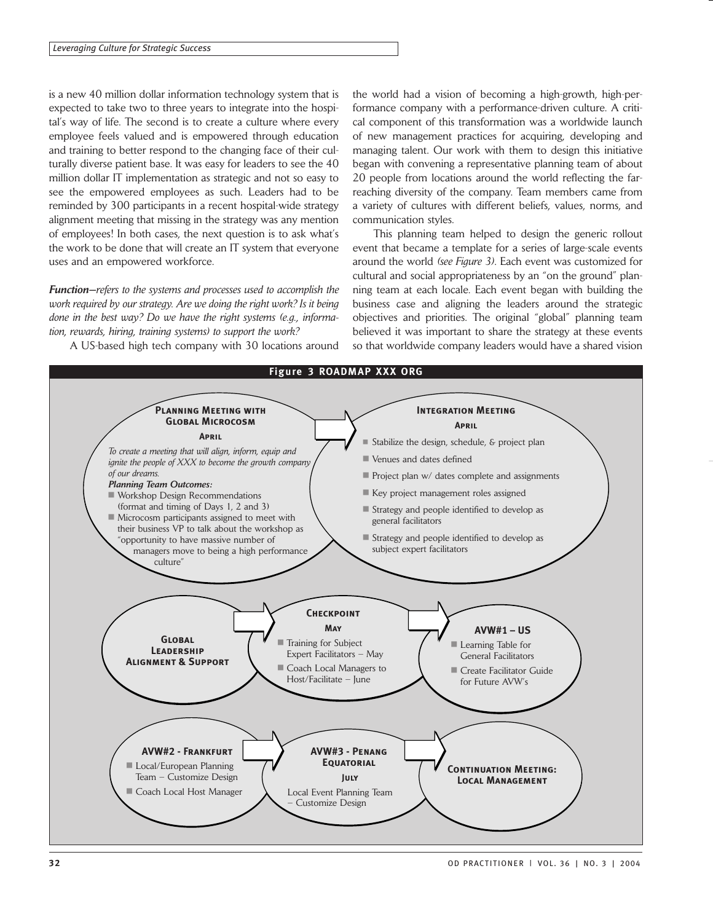is a new 40 million dollar information technology system that is expected to take two to three years to integrate into the hospital's way of life. The second is to create a culture where every employee feels valued and is empowered through education and training to better respond to the changing face of their culturally diverse patient base. It was easy for leaders to see the 40 million dollar IT implementation as strategic and not so easy to see the empowered employees as such. Leaders had to be reminded by 300 participants in a recent hospital-wide strategy alignment meeting that missing in the strategy was any mention of employees! In both cases, the next question is to ask what's the work to be done that will create an IT system that everyone uses and an empowered workforce.

*Function—refers to the systems and processes used to accomplish the work required by our strategy. Are we doing the right work? Is it being done in the best way? Do we have the right systems (e.g., information, rewards, hiring, training systems) to support the work?*

A US-based high tech company with 30 locations around

the world had a vision of becoming a high-growth, high-performance company with a performance-driven culture. A critical component of this transformation was a worldwide launch of new management practices for acquiring, developing and managing talent. Our work with them to design this initiative began with convening a representative planning team of about 20 people from locations around the world reflecting the farreaching diversity of the company. Team members came from a variety of cultures with different beliefs, values, norms, and communication styles.

This planning team helped to design the generic rollout event that became a template for a series of large-scale events around the world *(see Figure 3)*. Each event was customized for cultural and social appropriateness by an "on the ground" planning team at each locale. Each event began with building the business case and aligning the leaders around the strategic objectives and priorities. The original "global" planning team believed it was important to share the strategy at these events so that worldwide company leaders would have a shared vision

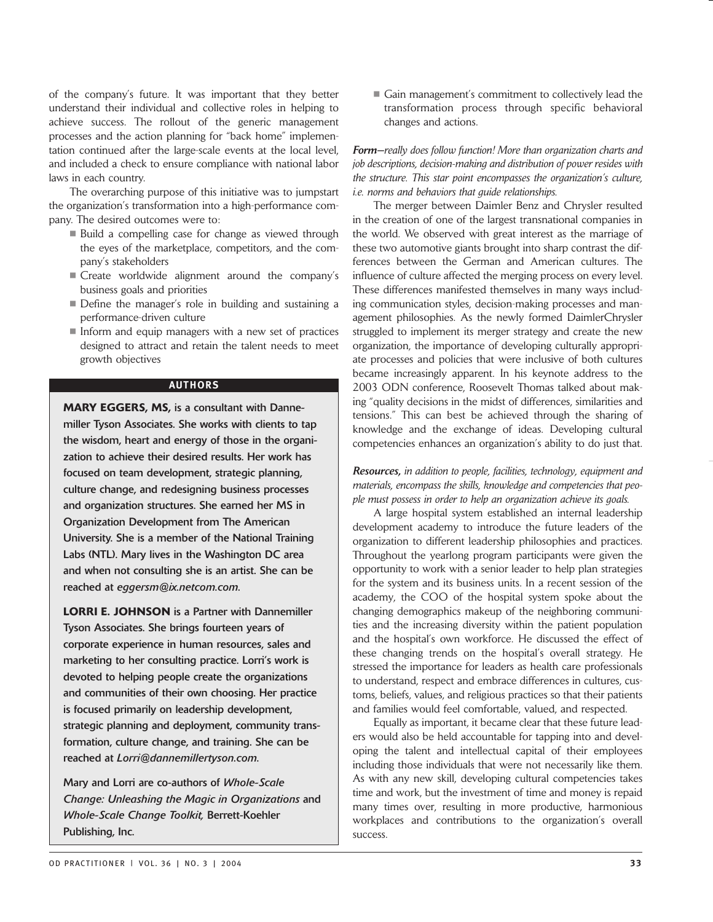of the company's future. It was important that they better understand their individual and collective roles in helping to achieve success. The rollout of the generic management processes and the action planning for "back home" implementation continued after the large-scale events at the local level, and included a check to ensure compliance with national labor laws in each country.

The overarching purpose of this initiative was to jumpstart the organization's transformation into a high-performance company. The desired outcomes were to:

- Build a compelling case for change as viewed through the eyes of the marketplace, competitors, and the company's stakeholders
- Create worldwide alignment around the company's business goals and priorities
- Define the manager's role in building and sustaining a performance-driven culture
- $\blacksquare$  Inform and equip managers with a new set of practices designed to attract and retain the talent needs to meet growth objectives

# **AUTHORS**

**MARY EGGERS, MS,** is a consultant with Dannemiller Tyson Associates. She works with clients to tap the wisdom, heart and energy of those in the organization to achieve their desired results. Her work has focused on team development, strategic planning, culture change, and redesigning business processes and organization structures. She earned her MS in Organization Development from The American University. She is a member of the National Training Labs (NTL). Mary lives in the Washington DC area and when not consulting she is an artist. She can be reached at *eggersm@ix.netcom.com.*

**LORRI E. JOHNSON** is a Partner with Dannemiller Tyson Associates. She brings fourteen years of corporate experience in human resources, sales and marketing to her consulting practice. Lorri's work is devoted to helping people create the organizations and communities of their own choosing. Her practice is focused primarily on leadership development, strategic planning and deployment, community transformation, culture change, and training. She can be reached at *Lorri@dannemillertyson.com.*

Mary and Lorri are co-authors of *Whole-Scale Change: Unleashing the Magic in Organizations* and *Whole-Scale Change Toolkit,* Berrett-Koehler Publishing, Inc.

Gain management's commitment to collectively lead the transformation process through specific behavioral changes and actions.

*Form—really does follow function! More than organization charts and job descriptions, decision-making and distribution of power resides with the structure. This star point encompasses the organization's culture, i.e. norms and behaviors that guide relationships.*

The merger between Daimler Benz and Chrysler resulted in the creation of one of the largest transnational companies in the world. We observed with great interest as the marriage of these two automotive giants brought into sharp contrast the differences between the German and American cultures. The influence of culture affected the merging process on every level. These differences manifested themselves in many ways including communication styles, decision-making processes and management philosophies. As the newly formed DaimlerChrysler struggled to implement its merger strategy and create the new organization, the importance of developing culturally appropriate processes and policies that were inclusive of both cultures became increasingly apparent. In his keynote address to the 2003 ODN conference, Roosevelt Thomas talked about making "quality decisions in the midst of differences, similarities and tensions." This can best be achieved through the sharing of knowledge and the exchange of ideas. Developing cultural competencies enhances an organization's ability to do just that.

*Resources, in addition to people, facilities, technology, equipment and materials, encompass the skills, knowledge and competencies that people must possess in order to help an organization achieve its goals.*

A large hospital system established an internal leadership development academy to introduce the future leaders of the organization to different leadership philosophies and practices. Throughout the yearlong program participants were given the opportunity to work with a senior leader to help plan strategies for the system and its business units. In a recent session of the academy, the COO of the hospital system spoke about the changing demographics makeup of the neighboring communities and the increasing diversity within the patient population and the hospital's own workforce. He discussed the effect of these changing trends on the hospital's overall strategy. He stressed the importance for leaders as health care professionals to understand, respect and embrace differences in cultures, customs, beliefs, values, and religious practices so that their patients and families would feel comfortable, valued, and respected.

Equally as important, it became clear that these future leaders would also be held accountable for tapping into and developing the talent and intellectual capital of their employees including those individuals that were not necessarily like them. As with any new skill, developing cultural competencies takes time and work, but the investment of time and money is repaid many times over, resulting in more productive, harmonious workplaces and contributions to the organization's overall success.